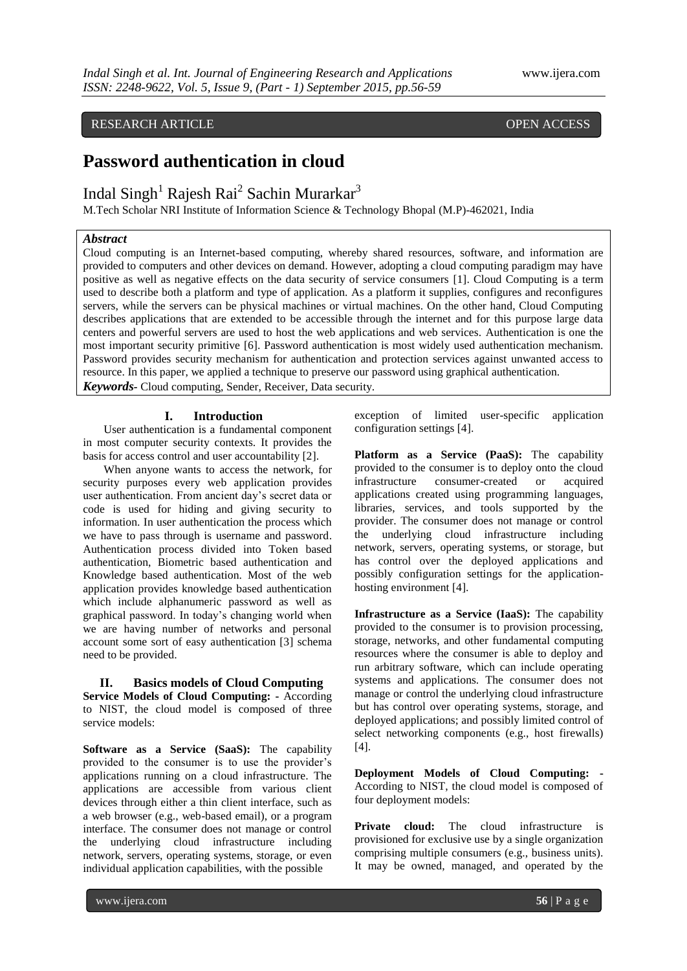# RESEARCH ARTICLE **CONSERVERS** OPEN ACCESS

# **Password authentication in cloud**

Indal Singh<sup>1</sup> Rajesh Rai<sup>2</sup> Sachin Murarkar<sup>3</sup>

M.Tech Scholar NRI Institute of Information Science & Technology Bhopal (M.P)-462021, India

#### *Abstract*

Cloud computing is an Internet-based computing, whereby shared resources, software, and information are provided to computers and other devices on demand. However, adopting a cloud computing paradigm may have positive as well as negative effects on the data security of service consumers [1]. Cloud Computing is a term used to describe both a platform and type of application. As a platform it supplies, configures and reconfigures servers, while the servers can be physical machines or virtual machines. On the other hand, Cloud Computing describes applications that are extended to be accessible through the internet and for this purpose large data centers and powerful servers are used to host the web applications and web services. Authentication is one the most important security primitive [6]. Password authentication is most widely used authentication mechanism. Password provides security mechanism for authentication and protection services against unwanted access to resource. In this paper, we applied a technique to preserve our password using graphical authentication. *Keywords-* Cloud computing, Sender, Receiver, Data security.

#### **I. Introduction**

User authentication is a fundamental component in most computer security contexts. It provides the basis for access control and user accountability [2].

When anyone wants to access the network, for security purposes every web application provides user authentication. From ancient day's secret data or code is used for hiding and giving security to information. In user authentication the process which we have to pass through is username and password. Authentication process divided into Token based authentication, Biometric based authentication and Knowledge based authentication. Most of the web application provides knowledge based authentication which include alphanumeric password as well as graphical password. In today's changing world when we are having number of networks and personal account some sort of easy authentication [3] schema need to be provided.

#### **II. Basics models of Cloud Computing**

**Service Models of Cloud Computing: -** According to NIST, the cloud model is composed of three service models:

**Software as a Service (SaaS):** The capability provided to the consumer is to use the provider's applications running on a cloud infrastructure. The applications are accessible from various client devices through either a thin client interface, such as a web browser (e.g., web-based email), or a program interface. The consumer does not manage or control the underlying cloud infrastructure including network, servers, operating systems, storage, or even individual application capabilities, with the possible

exception of limited user-specific application configuration settings [4].

**Platform as a Service (PaaS):** The capability provided to the consumer is to deploy onto the cloud infrastructure consumer-created or acquired applications created using programming languages, libraries, services, and tools supported by the provider. The consumer does not manage or control the underlying cloud infrastructure including network, servers, operating systems, or storage, but has control over the deployed applications and possibly configuration settings for the applicationhosting environment [4].

**Infrastructure as a Service (IaaS):** The capability provided to the consumer is to provision processing, storage, networks, and other fundamental computing resources where the consumer is able to deploy and run arbitrary software, which can include operating systems and applications. The consumer does not manage or control the underlying cloud infrastructure but has control over operating systems, storage, and deployed applications; and possibly limited control of select networking components (e.g., host firewalls) [4].

**Deployment Models of Cloud Computing: -** According to NIST, the cloud model is composed of four deployment models:

**Private cloud:** The cloud infrastructure is provisioned for exclusive use by a single organization comprising multiple consumers (e.g., business units). It may be owned, managed, and operated by the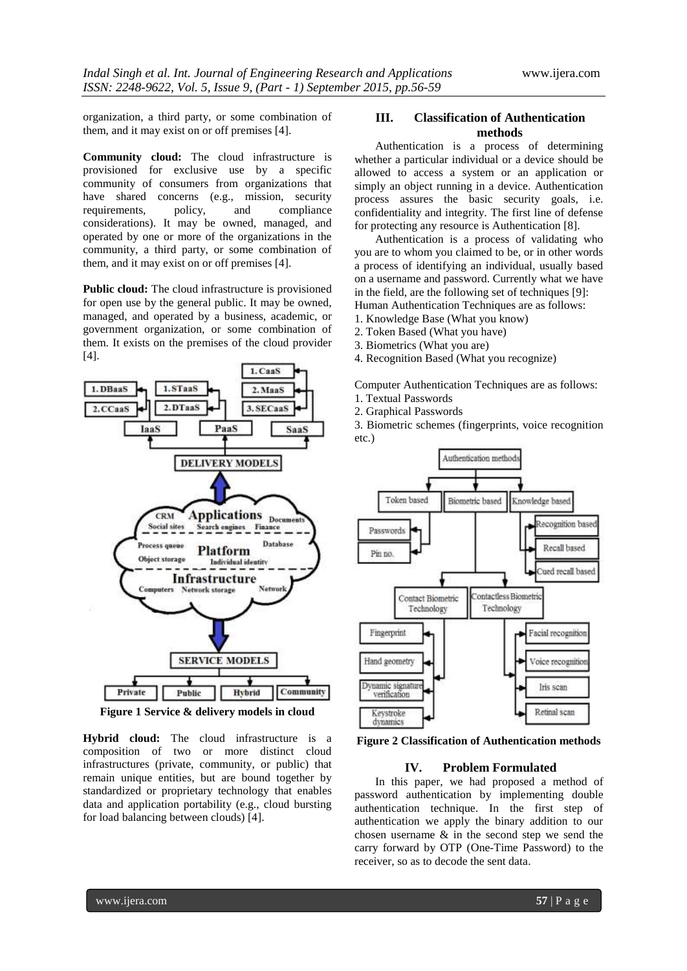organization, a third party, or some combination of them, and it may exist on or off premises [4].

**Community cloud:** The cloud infrastructure is provisioned for exclusive use by a specific community of consumers from organizations that have shared concerns (e.g., mission, security requirements, policy, and compliance considerations). It may be owned, managed, and operated by one or more of the organizations in the community, a third party, or some combination of them, and it may exist on or off premises [4].

**Public cloud:** The cloud infrastructure is provisioned for open use by the general public. It may be owned, managed, and operated by a business, academic, or government organization, or some combination of them. It exists on the premises of the cloud provider [4].



**Figure 1 Service & delivery models in cloud**

**Hybrid cloud:** The cloud infrastructure is a composition of two or more distinct cloud infrastructures (private, community, or public) that remain unique entities, but are bound together by standardized or proprietary technology that enables data and application portability (e.g., cloud bursting for load balancing between clouds) [4].

## **III. Classification of Authentication methods**

Authentication is a process of determining whether a particular individual or a device should be allowed to access a system or an application or simply an object running in a device. Authentication process assures the basic security goals, i.e. confidentiality and integrity. The first line of defense for protecting any resource is Authentication [8].

Authentication is a process of validating who you are to whom you claimed to be, or in other words a process of identifying an individual, usually based on a username and password. Currently what we have in the field, are the following set of techniques [9]: Human Authentication Techniques are as follows:

- 1. Knowledge Base (What you know)
- 2. Token Based (What you have)
- 3. Biometrics (What you are)
- 4. Recognition Based (What you recognize)

Computer Authentication Techniques are as follows: 1. Textual Passwords

2. Graphical Passwords

3. Biometric schemes (fingerprints, voice recognition etc.)



**Figure 2 Classification of Authentication methods**

#### **IV. Problem Formulated**

In this paper, we had proposed a method of password authentication by implementing double authentication technique. In the first step of authentication we apply the binary addition to our chosen username & in the second step we send the carry forward by OTP [\(One-Time Password\)](https://www.google.co.in/url?sa=t&rct=j&q=&esrc=s&source=web&cd=4&cad=rja&uact=8&ved=0CDQQFjAD&url=http%3A%2F%2Fwww.safenet-inc.com%2Fmulti-factor-authentication%2Fauthenticators%2Fone-time-password-otp%2F&ei=9osiVN6GHceRuATH9YLgDA&usg=AFQjCNEvtNs9Rrj-rDYZnuAudeiEEUDWZA&bvm=bv.76180860,d.c2E) to the receiver, so as to decode the sent data.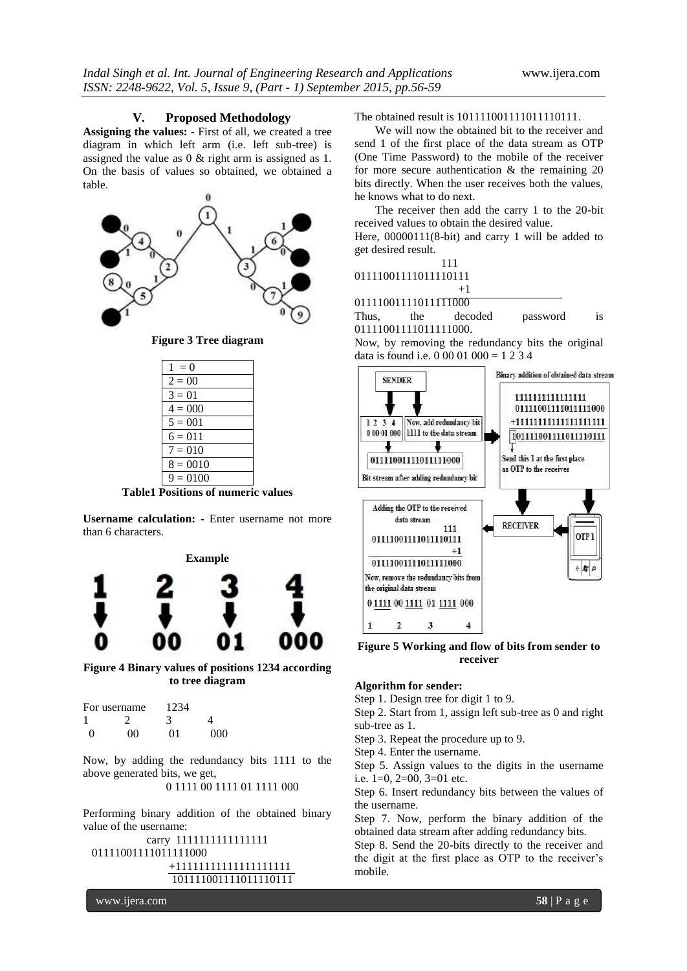#### **V. Proposed Methodology**

**Assigning the values: -** First of all, we created a tree diagram in which left arm (i.e. left sub-tree) is assigned the value as 0 & right arm is assigned as 1. On the basis of values so obtained, we obtained a table.



**Figure 3 Tree diagram**

| $= 0$      |
|------------|
| $2 = 00$   |
| $3 = 01$   |
| $4 = 000$  |
| $5 = 001$  |
| $6 = 011$  |
| $7 = 010$  |
| $8 = 0010$ |
| $9 = 0100$ |

**Table1 Positions of numeric values**

**Username calculation: -** Enter username not more than 6 characters.



**Figure 4 Binary values of positions 1234 according to tree diagram**

|   | For username | 1234 |     |
|---|--------------|------|-----|
|   |              |      |     |
| 0 | M            | 01   | 000 |

Now, by adding the redundancy bits 1111 to the above generated bits, we get, 0 1111 00 1111 01 1111 000

Performing binary addition of the obtained binary value of the username:

 carry 1111111111111111 01111001111011111000 +11111111111111111111 101111001111011110111 The obtained result is  $1011110011110111101111$ .

We will now the obtained bit to the receiver and send 1 of the first place of the data stream as OTP (One Time Password) to the mobile of the receiver for more secure authentication  $\&$  the remaining 20 bits directly. When the user receives both the values, he knows what to do next.

The receiver then add the carry 1 to the 20-bit received values to obtain the desired value.

Here, 00000111(8-bit) and carry 1 will be added to get desired result.

| 111                  |      |
|----------------------|------|
| 01111001111011110111 |      |
|                      | $+1$ |

01111001111011111000 Thus, the decoded password is 01111001111011111000.

Now, by removing the redundancy bits the original data is found i.e. 0 00 01 000 = 1 2 3 4



**Figure 5 Working and flow of bits from sender to receiver**

### **Algorithm for sender:**

Step 1. Design tree for digit 1 to 9.

Step 2. Start from 1, assign left sub-tree as 0 and right sub-tree as 1.

Step 3. Repeat the procedure up to 9.

Step 4. Enter the username.

Step 5. Assign values to the digits in the username i.e. 1=0, 2=00, 3=01 etc.

Step 6. Insert redundancy bits between the values of the username.

Step 7. Now, perform the binary addition of the obtained data stream after adding redundancy bits.

Step 8. Send the 20-bits directly to the receiver and the digit at the first place as OTP to the receiver's mobile.